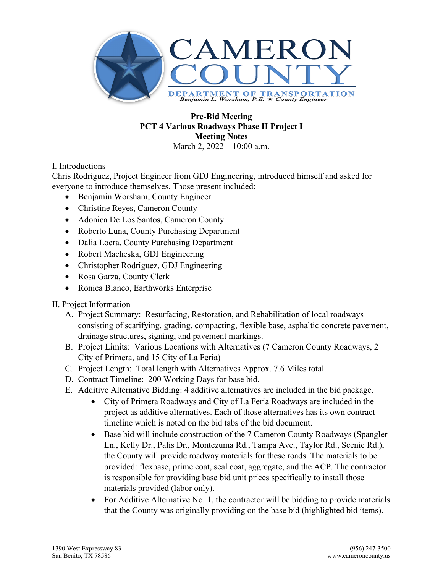

# **Pre-Bid Meeting PCT 4 Various Roadways Phase II Project I Meeting Notes**

March 2, 2022 – 10:00 a.m.

#### I. Introductions

Chris Rodriguez, Project Engineer from GDJ Engineering, introduced himself and asked for everyone to introduce themselves. Those present included:

- Benjamin Worsham, County Engineer
- Christine Reyes, Cameron County
- Adonica De Los Santos, Cameron County
- Roberto Luna, County Purchasing Department
- Dalia Loera, County Purchasing Department
- Robert Macheska, GDJ Engineering
- Christopher Rodriguez, GDJ Engineering
- Rosa Garza, County Clerk
- Ronica Blanco, Earthworks Enterprise

#### II. Project Information

- A. Project Summary: Resurfacing, Restoration, and Rehabilitation of local roadways consisting of scarifying, grading, compacting, flexible base, asphaltic concrete pavement, drainage structures, signing, and pavement markings.
- B. Project Limits: Various Locations with Alternatives (7 Cameron County Roadways, 2 City of Primera, and 15 City of La Feria)
- C. Project Length: Total length with Alternatives Approx. 7.6 Miles total.
- D. Contract Timeline: 200 Working Days for base bid.
- E. Additive Alternative Bidding: 4 additive alternatives are included in the bid package.
	- City of Primera Roadways and City of La Feria Roadways are included in the project as additive alternatives. Each of those alternatives has its own contract timeline which is noted on the bid tabs of the bid document.
	- Base bid will include construction of the 7 Cameron County Roadways (Spangler Ln., Kelly Dr., Palis Dr., Montezuma Rd., Tampa Ave., Taylor Rd., Scenic Rd.), the County will provide roadway materials for these roads. The materials to be provided: flexbase, prime coat, seal coat, aggregate, and the ACP. The contractor is responsible for providing base bid unit prices specifically to install those materials provided (labor only).
	- For Additive Alternative No. 1, the contractor will be bidding to provide materials that the County was originally providing on the base bid (highlighted bid items).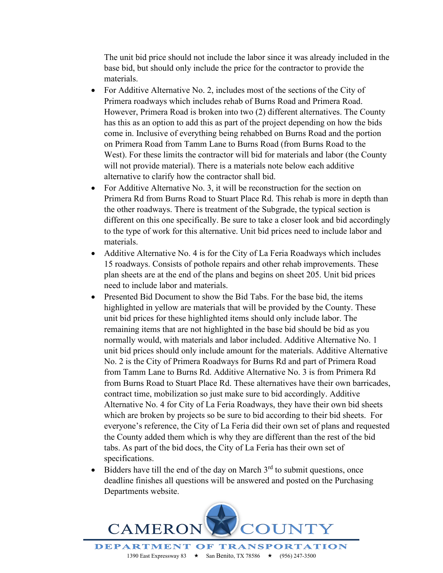The unit bid price should not include the labor since it was already included in the base bid, but should only include the price for the contractor to provide the materials.

- For Additive Alternative No. 2, includes most of the sections of the City of Primera roadways which includes rehab of Burns Road and Primera Road. However, Primera Road is broken into two (2) different alternatives. The County has this as an option to add this as part of the project depending on how the bids come in. Inclusive of everything being rehabbed on Burns Road and the portion on Primera Road from Tamm Lane to Burns Road (from Burns Road to the West). For these limits the contractor will bid for materials and labor (the County will not provide material). There is a materials note below each additive alternative to clarify how the contractor shall bid.
- For Additive Alternative No. 3, it will be reconstruction for the section on Primera Rd from Burns Road to Stuart Place Rd. This rehab is more in depth than the other roadways. There is treatment of the Subgrade, the typical section is different on this one specifically. Be sure to take a closer look and bid accordingly to the type of work for this alternative. Unit bid prices need to include labor and materials.
- Additive Alternative No. 4 is for the City of La Feria Roadways which includes 15 roadways. Consists of pothole repairs and other rehab improvements. These plan sheets are at the end of the plans and begins on sheet 205. Unit bid prices need to include labor and materials.
- Presented Bid Document to show the Bid Tabs. For the base bid, the items highlighted in yellow are materials that will be provided by the County. These unit bid prices for these highlighted items should only include labor. The remaining items that are not highlighted in the base bid should be bid as you normally would, with materials and labor included. Additive Alternative No. 1 unit bid prices should only include amount for the materials. Additive Alternative No. 2 is the City of Primera Roadways for Burns Rd and part of Primera Road from Tamm Lane to Burns Rd. Additive Alternative No. 3 is from Primera Rd from Burns Road to Stuart Place Rd. These alternatives have their own barricades, contract time, mobilization so just make sure to bid accordingly. Additive Alternative No. 4 for City of La Feria Roadways, they have their own bid sheets which are broken by projects so be sure to bid according to their bid sheets. For everyone's reference, the City of La Feria did their own set of plans and requested the County added them which is why they are different than the rest of the bid tabs. As part of the bid docs, the City of La Feria has their own set of specifications.
- Bidders have till the end of the day on March  $3<sup>rd</sup>$  to submit questions, once deadline finishes all questions will be answered and posted on the Purchasing Departments website.

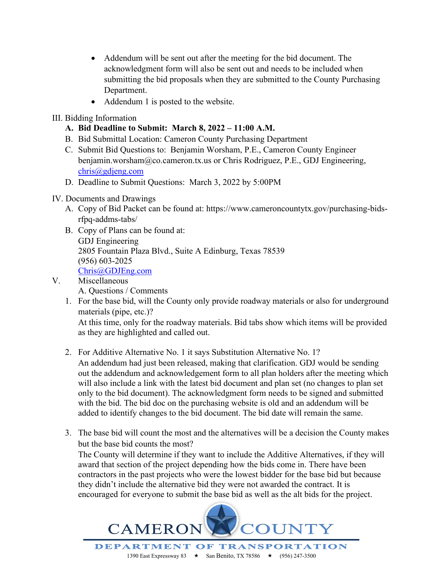- Addendum will be sent out after the meeting for the bid document. The acknowledgment form will also be sent out and needs to be included when submitting the bid proposals when they are submitted to the County Purchasing Department.
- Addendum 1 is posted to the website.

### III. Bidding Information

- **A. Bid Deadline to Submit: March 8, 2022 – 11:00 A.M.**
- B. Bid Submittal Location: Cameron County Purchasing Department
- C. Submit Bid Questions to: Benjamin Worsham, P.E., Cameron County Engineer benjamin.worsham@co.cameron.tx.us or Chris Rodriguez, P.E., GDJ Engineering, [chris@gdjeng.com](mailto:chris@gdjeng.com)
- D. Deadline to Submit Questions: March 3, 2022 by 5:00PM

### IV. Documents and Drawings

- A. Copy of Bid Packet can be found at: https://www.cameroncountytx.gov/purchasing-bidsrfpq-addms-tabs/
- B. Copy of Plans can be found at: GDJ Engineering 2805 Fountain Plaza Blvd., Suite A Edinburg, Texas 78539 (956) 603-2025 [Chris@GDJEng.com](mailto:Chris@GDJEng.com)

## V. Miscellaneous

- A. Questions / Comments
- 1. For the base bid, will the County only provide roadway materials or also for underground materials (pipe, etc.)?

At this time, only for the roadway materials. Bid tabs show which items will be provided as they are highlighted and called out.

- 2. For Additive Alternative No. 1 it says Substitution Alternative No. 1? An addendum had just been released, making that clarification. GDJ would be sending out the addendum and acknowledgement form to all plan holders after the meeting which will also include a link with the latest bid document and plan set (no changes to plan set only to the bid document). The acknowledgment form needs to be signed and submitted with the bid. The bid doc on the purchasing website is old and an addendum will be added to identify changes to the bid document. The bid date will remain the same.
- 3. The base bid will count the most and the alternatives will be a decision the County makes but the base bid counts the most? The County will determine if they want to include the Additive Alternatives, if they will award that section of the project depending how the bids come in. There have been

contractors in the past projects who were the lowest bidder for the base bid but because they didn't include the alternative bid they were not awarded the contract. It is encouraged for everyone to submit the base bid as well as the alt bids for the project.